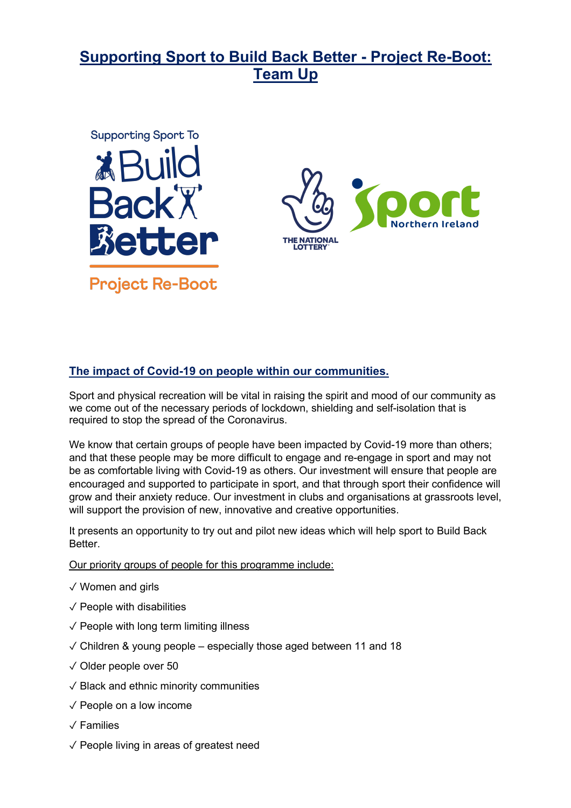# **Supporting Sport to Build Back Better - Project Re-Boot: Team Up**



## **The impact of Covid-19 on people within our communities.**

Sport and physical recreation will be vital in raising the spirit and mood of our community as we come out of the necessary periods of lockdown, shielding and self-isolation that is required to stop the spread of the Coronavirus.

We know that certain groups of people have been impacted by Covid-19 more than others; and that these people may be more difficult to engage and re-engage in sport and may not be as comfortable living with Covid-19 as others. Our investment will ensure that people are encouraged and supported to participate in sport, and that through sport their confidence will grow and their anxiety reduce. Our investment in clubs and organisations at grassroots level, will support the provision of new, innovative and creative opportunities.

It presents an opportunity to try out and pilot new ideas which will help sport to Build Back Better.

Our priority groups of people for this programme include:

- ✓ Women and girls
- $\sqrt{}$  People with disabilities
- $\sqrt{\ }$  People with long term limiting illness
- $\sqrt{\frac{1}{10}}$  Children & young people especially those aged between 11 and 18
- ✓ Older people over 50
- ✓ Black and ethnic minority communities
- $\sqrt{}$  People on a low income
- ✓ Families
- ✓ People living in areas of greatest need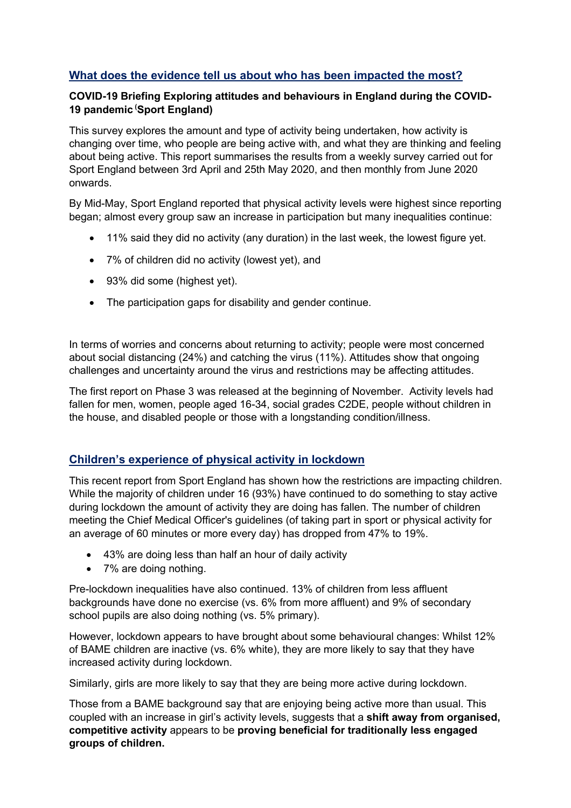# **What does the evidence tell us about who has been impacted the most?**

#### **COVID-19 Briefing Exploring attitudes and behaviours in England during the COVID-19 pandemic ( Sport England)**

This survey explores the amount and type of activity being undertaken, how activity is changing over time, who people are being active with, and what they are thinking and feeling about being active. This report summarises the results from a weekly survey carried out for Sport England between 3rd April and 25th May 2020, and then monthly from June 2020 onwards.

By Mid-May, Sport England reported that physical activity levels were highest since reporting began; almost every group saw an increase in participation but many inequalities continue:

- 11% said they did no activity (any duration) in the last week, the lowest figure yet.
- 7% of children did no activity (lowest yet), and
- 93% did some (highest yet).
- The participation gaps for disability and gender continue.

In terms of worries and concerns about returning to activity; people were most concerned about social distancing (24%) and catching the virus (11%). Attitudes show that ongoing challenges and uncertainty around the virus and restrictions may be affecting attitudes.

The first report on Phase 3 was released at the beginning of November. Activity levels had fallen for men, women, people aged 16-34, social grades C2DE, people without children in the house, and disabled people or those with a longstanding condition/illness.

## **Children's experience of physical activity in lockdown**

This recent report from Sport England has shown how the restrictions are impacting children. While the majority of children under 16 (93%) have continued to do something to stay active during lockdown the amount of activity they are doing has fallen. The number of children meeting the Chief Medical Officer's guidelines (of taking part in sport or physical activity for an average of 60 minutes or more every day) has dropped from 47% to 19%.

- 43% are doing less than half an hour of daily activity
- 7% are doing nothing.

Pre-lockdown inequalities have also continued. 13% of children from less affluent backgrounds have done no exercise (vs. 6% from more affluent) and 9% of secondary school pupils are also doing nothing (vs. 5% primary).

However, lockdown appears to have brought about some behavioural changes: Whilst 12% of BAME children are inactive (vs. 6% white), they are more likely to say that they have increased activity during lockdown.

Similarly, girls are more likely to say that they are being more active during lockdown.

Those from a BAME background say that are enjoying being active more than usual. This coupled with an increase in girl's activity levels, suggests that a **shift away from organised, competitive activity** appears to be **proving beneficial for traditionally less engaged groups of children.**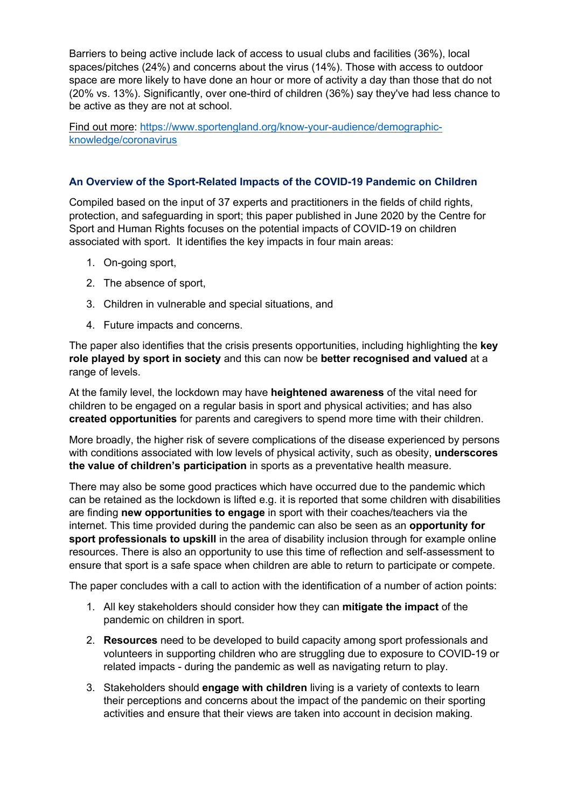Barriers to being active include lack of access to usual clubs and facilities (36%), local spaces/pitches (24%) and concerns about the virus (14%). Those with access to outdoor space are more likely to have done an hour or more of activity a day than those that do not (20% vs. 13%). Significantly, over one-third of children (36%) say they've had less chance to be active as they are not at school.

Find out more: https://www.sportengland.org/know-your-audience/demographicknowledge/coronavirus

#### **An Overview of the Sport-Related Impacts of the COVID-19 Pandemic on Children**

Compiled based on the input of 37 experts and practitioners in the fields of child rights, protection, and safeguarding in sport; this paper published in June 2020 by the Centre for Sport and Human Rights focuses on the potential impacts of COVID-19 on children associated with sport. It identifies the key impacts in four main areas:

- 1. On-going sport,
- 2. The absence of sport,
- 3. Children in vulnerable and special situations, and
- 4. Future impacts and concerns.

The paper also identifies that the crisis presents opportunities, including highlighting the **key role played by sport in society** and this can now be **better recognised and valued** at a range of levels.

At the family level, the lockdown may have **heightened awareness** of the vital need for children to be engaged on a regular basis in sport and physical activities; and has also **created opportunities** for parents and caregivers to spend more time with their children.

More broadly, the higher risk of severe complications of the disease experienced by persons with conditions associated with low levels of physical activity, such as obesity, **underscores the value of children's participation** in sports as a preventative health measure.

There may also be some good practices which have occurred due to the pandemic which can be retained as the lockdown is lifted e.g. it is reported that some children with disabilities are finding **new opportunities to engage** in sport with their coaches/teachers via the internet. This time provided during the pandemic can also be seen as an **opportunity for sport professionals to upskill** in the area of disability inclusion through for example online resources. There is also an opportunity to use this time of reflection and self-assessment to ensure that sport is a safe space when children are able to return to participate or compete.

The paper concludes with a call to action with the identification of a number of action points:

- 1. All key stakeholders should consider how they can **mitigate the impact** of the pandemic on children in sport.
- 2. **Resources** need to be developed to build capacity among sport professionals and volunteers in supporting children who are struggling due to exposure to COVID-19 or related impacts - during the pandemic as well as navigating return to play.
- 3. Stakeholders should **engage with children** living is a variety of contexts to learn their perceptions and concerns about the impact of the pandemic on their sporting activities and ensure that their views are taken into account in decision making.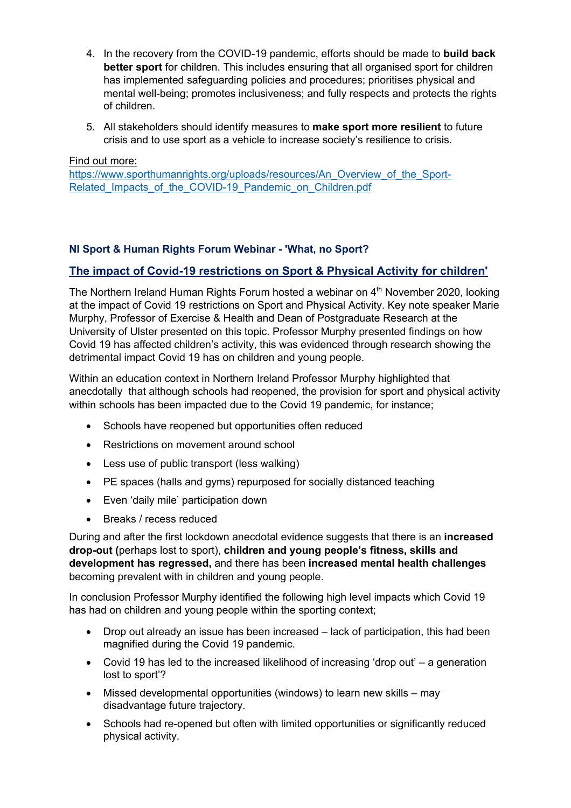- 4. In the recovery from the COVID-19 pandemic, efforts should be made to **build back better sport** for children. This includes ensuring that all organised sport for children has implemented safeguarding policies and procedures; prioritises physical and mental well-being; promotes inclusiveness; and fully respects and protects the rights of children.
- 5. All stakeholders should identify measures to **make sport more resilient** to future crisis and to use sport as a vehicle to increase society's resilience to crisis.

Find out more:

https://www.sporthumanrights.org/uploads/resources/An\_Overview\_of\_the\_Sport-Related Impacts of the COVID-19 Pandemic on Children.pdf

#### **NI Sport & Human Rights Forum Webinar - 'What, no Sport?**

#### **The impact of Covid-19 restrictions on Sport & Physical Activity for children'**

The Northern Ireland Human Rights Forum hosted a webinar on 4<sup>th</sup> November 2020, looking at the impact of Covid 19 restrictions on Sport and Physical Activity. Key note speaker Marie Murphy, Professor of Exercise & Health and Dean of Postgraduate Research at the University of Ulster presented on this topic. Professor Murphy presented findings on how Covid 19 has affected children's activity, this was evidenced through research showing the detrimental impact Covid 19 has on children and young people.

Within an education context in Northern Ireland Professor Murphy highlighted that anecdotally that although schools had reopened, the provision for sport and physical activity within schools has been impacted due to the Covid 19 pandemic, for instance;

- Schools have reopened but opportunities often reduced
- Restrictions on movement around school
- Less use of public transport (less walking)
- PE spaces (halls and gyms) repurposed for socially distanced teaching
- Even 'daily mile' participation down
- Breaks / recess reduced

During and after the first lockdown anecdotal evidence suggests that there is an **increased drop-out (**perhaps lost to sport), **children and young people's fitness, skills and development has regressed,** and there has been **increased mental health challenges** becoming prevalent with in children and young people.

In conclusion Professor Murphy identified the following high level impacts which Covid 19 has had on children and young people within the sporting context;

- Drop out already an issue has been increased lack of participation, this had been magnified during the Covid 19 pandemic.
- Covid 19 has led to the increased likelihood of increasing 'drop out' a generation lost to sport'?
- Missed developmental opportunities (windows) to learn new skills may disadvantage future trajectory.
- Schools had re-opened but often with limited opportunities or significantly reduced physical activity.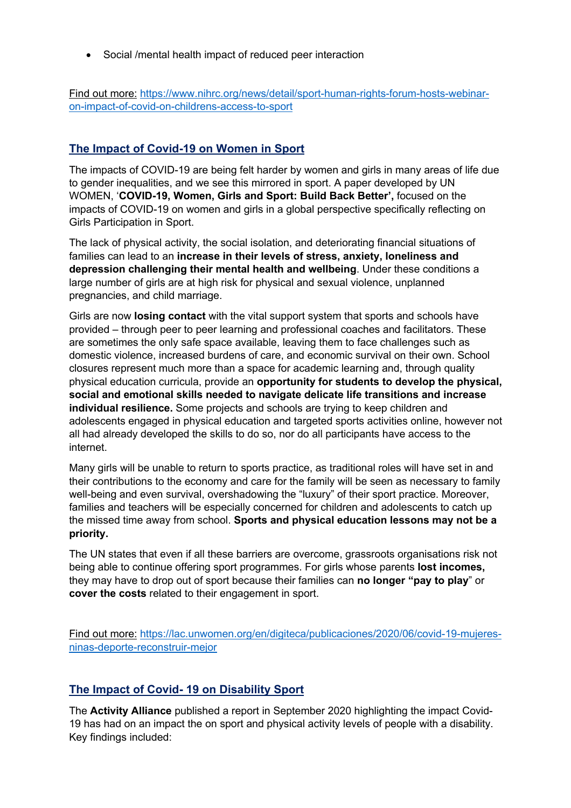• Social /mental health impact of reduced peer interaction

Find out more: https://www.nihrc.org/news/detail/sport-human-rights-forum-hosts-webinaron-impact-of-covid-on-childrens-access-to-sport

# **The Impact of Covid-19 on Women in Sport**

The impacts of COVID-19 are being felt harder by women and girls in many areas of life due to gender inequalities, and we see this mirrored in sport. A paper developed by UN WOMEN, '**COVID-19, Women, Girls and Sport: Build Back Better',** focused on the impacts of COVID-19 on women and girls in a global perspective specifically reflecting on Girls Participation in Sport.

The lack of physical activity, the social isolation, and deteriorating financial situations of families can lead to an **increase in their levels of stress, anxiety, loneliness and depression challenging their mental health and wellbeing**. Under these conditions a large number of girls are at high risk for physical and sexual violence, unplanned pregnancies, and child marriage.

Girls are now **losing contact** with the vital support system that sports and schools have provided – through peer to peer learning and professional coaches and facilitators. These are sometimes the only safe space available, leaving them to face challenges such as domestic violence, increased burdens of care, and economic survival on their own. School closures represent much more than a space for academic learning and, through quality physical education curricula, provide an **opportunity for students to develop the physical, social and emotional skills needed to navigate delicate life transitions and increase individual resilience.** Some projects and schools are trying to keep children and adolescents engaged in physical education and targeted sports activities online, however not all had already developed the skills to do so, nor do all participants have access to the internet.

Many girls will be unable to return to sports practice, as traditional roles will have set in and their contributions to the economy and care for the family will be seen as necessary to family well-being and even survival, overshadowing the "luxury" of their sport practice. Moreover, families and teachers will be especially concerned for children and adolescents to catch up the missed time away from school. **Sports and physical education lessons may not be a priority.** 

The UN states that even if all these barriers are overcome, grassroots organisations risk not being able to continue offering sport programmes. For girls whose parents **lost incomes,** they may have to drop out of sport because their families can **no longer "pay to play**" or **cover the costs** related to their engagement in sport.

Find out more: https://lac.unwomen.org/en/digiteca/publicaciones/2020/06/covid-19-mujeresninas-deporte-reconstruir-mejor

## **The Impact of Covid- 19 on Disability Sport**

The **Activity Alliance** published a report in September 2020 highlighting the impact Covid-19 has had on an impact the on sport and physical activity levels of people with a disability. Key findings included: